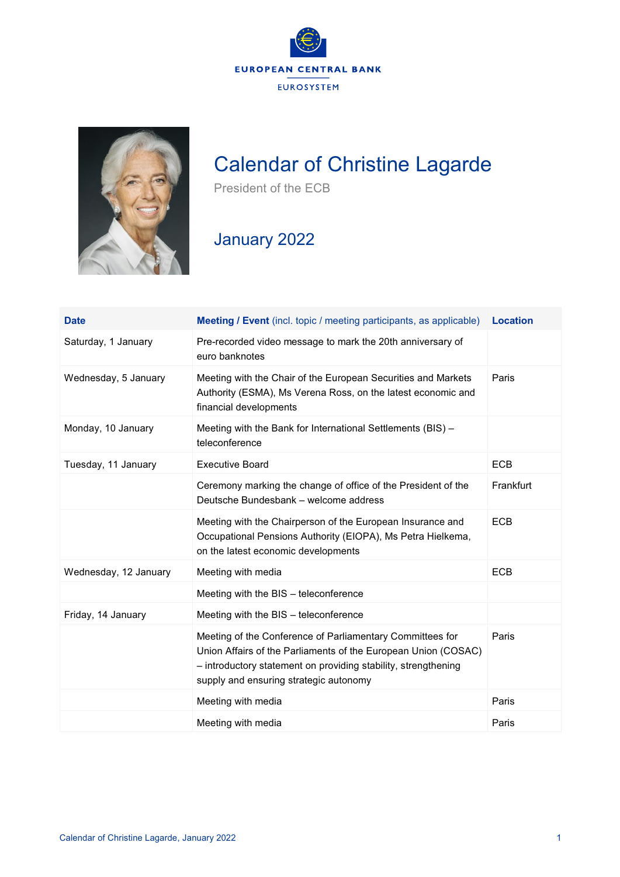



## Calendar of Christine Lagarde

President of the ECB

## January 2022

| <b>Date</b>           | <b>Meeting / Event</b> (incl. topic / meeting participants, as applicable)                                                                                                                                                              | <b>Location</b> |
|-----------------------|-----------------------------------------------------------------------------------------------------------------------------------------------------------------------------------------------------------------------------------------|-----------------|
| Saturday, 1 January   | Pre-recorded video message to mark the 20th anniversary of<br>euro banknotes                                                                                                                                                            |                 |
| Wednesday, 5 January  | Meeting with the Chair of the European Securities and Markets<br>Authority (ESMA), Ms Verena Ross, on the latest economic and<br>financial developments                                                                                 | Paris           |
| Monday, 10 January    | Meeting with the Bank for International Settlements (BIS) -<br>teleconference                                                                                                                                                           |                 |
| Tuesday, 11 January   | <b>Executive Board</b>                                                                                                                                                                                                                  | <b>ECB</b>      |
|                       | Ceremony marking the change of office of the President of the<br>Deutsche Bundesbank – welcome address                                                                                                                                  | Frankfurt       |
|                       | Meeting with the Chairperson of the European Insurance and<br>Occupational Pensions Authority (EIOPA), Ms Petra Hielkema,<br>on the latest economic developments                                                                        | <b>ECB</b>      |
| Wednesday, 12 January | Meeting with media                                                                                                                                                                                                                      | <b>ECB</b>      |
|                       | Meeting with the BIS - teleconference                                                                                                                                                                                                   |                 |
| Friday, 14 January    | Meeting with the BIS - teleconference                                                                                                                                                                                                   |                 |
|                       | Meeting of the Conference of Parliamentary Committees for<br>Union Affairs of the Parliaments of the European Union (COSAC)<br>- introductory statement on providing stability, strengthening<br>supply and ensuring strategic autonomy | Paris           |
|                       | Meeting with media                                                                                                                                                                                                                      | Paris           |
|                       | Meeting with media                                                                                                                                                                                                                      | Paris           |